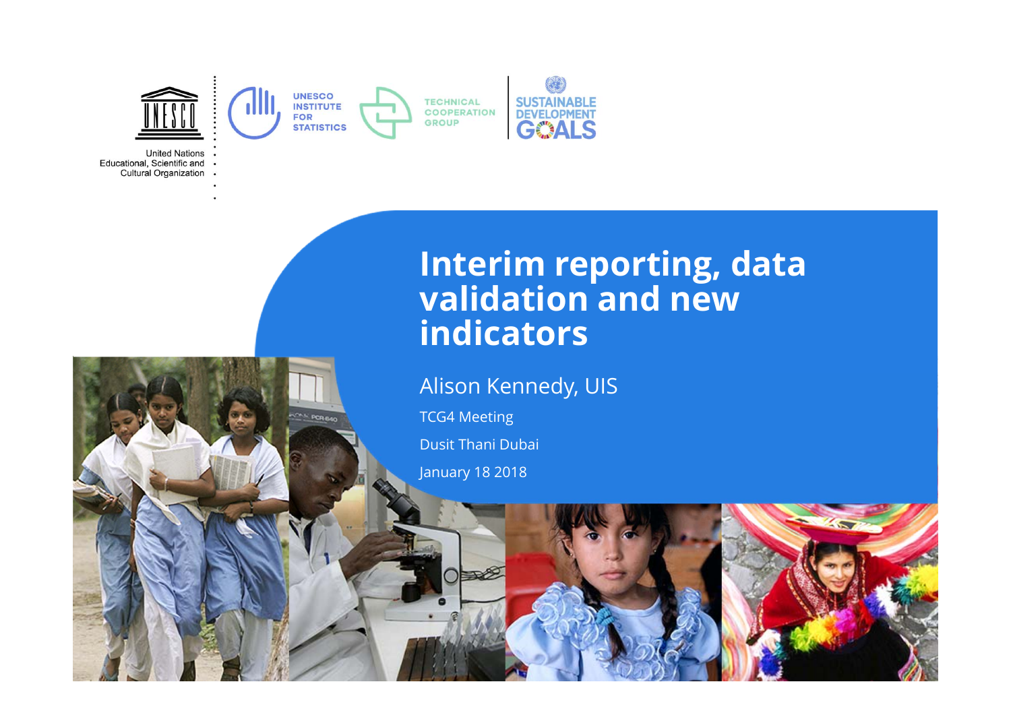

**United Nations** Educational, Scientific and Cultural Organization .

#### **Interim reporting, data validation and new indicators**

Alison Kennedy, UIS

TCG4 Meeting

Dusit Thani Dubai

January 18 2018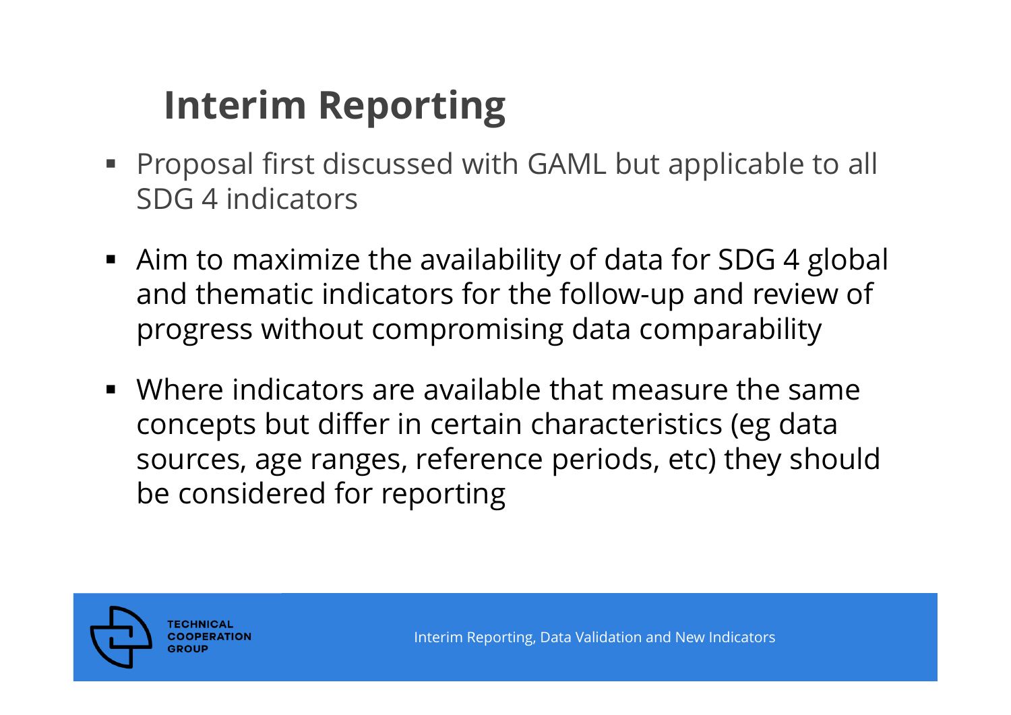## **Interim Reporting**

- Proposal first discussed with GAML but applicable to all SDG 4 indicators
- Aim to maximize the availability of data for SDG 4 global and thematic indicators for the follow-up and review of progress without compromising data comparability
- Where indicators are available that measure the same concepts but differ in certain characteristics (eg data sources, age ranges, reference periods, etc) they should be considered for reporting

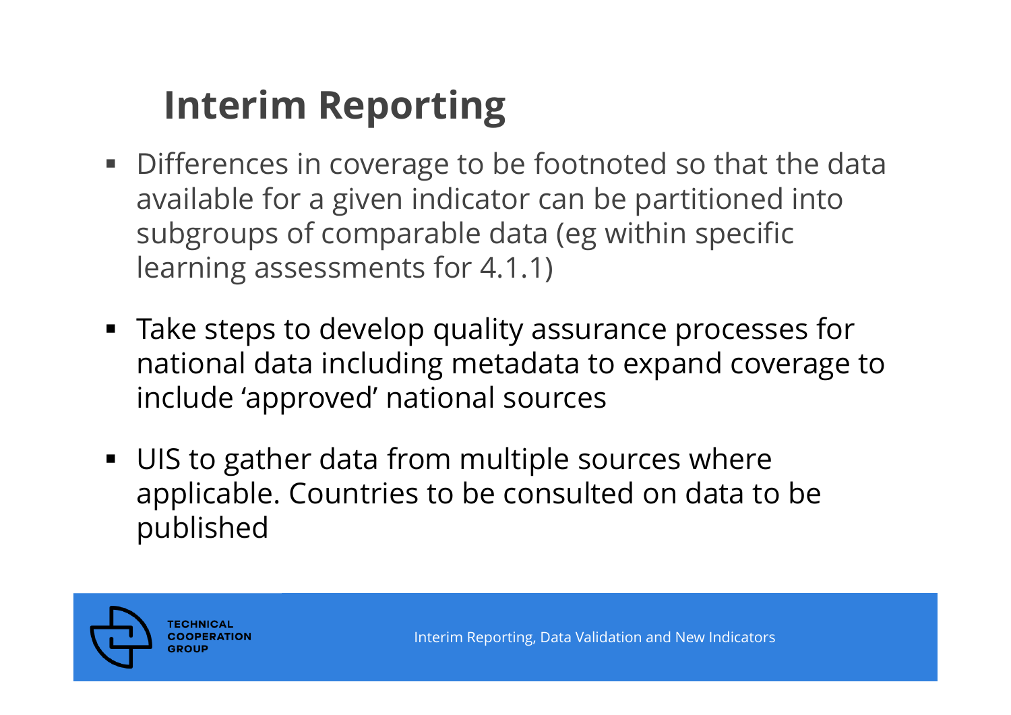## **Interim Reporting**

- **Differences in coverage to be footnoted so that the data** available for a given indicator can be partitioned into subgroups of comparable data (eg within specific learning assessments for 4.1.1)
- Take steps to develop quality assurance processes for national data including metadata to expand coverage to include 'approved' national sources
- **UIS to gather data from multiple sources where** applicable. Countries to be consulted on data to be published

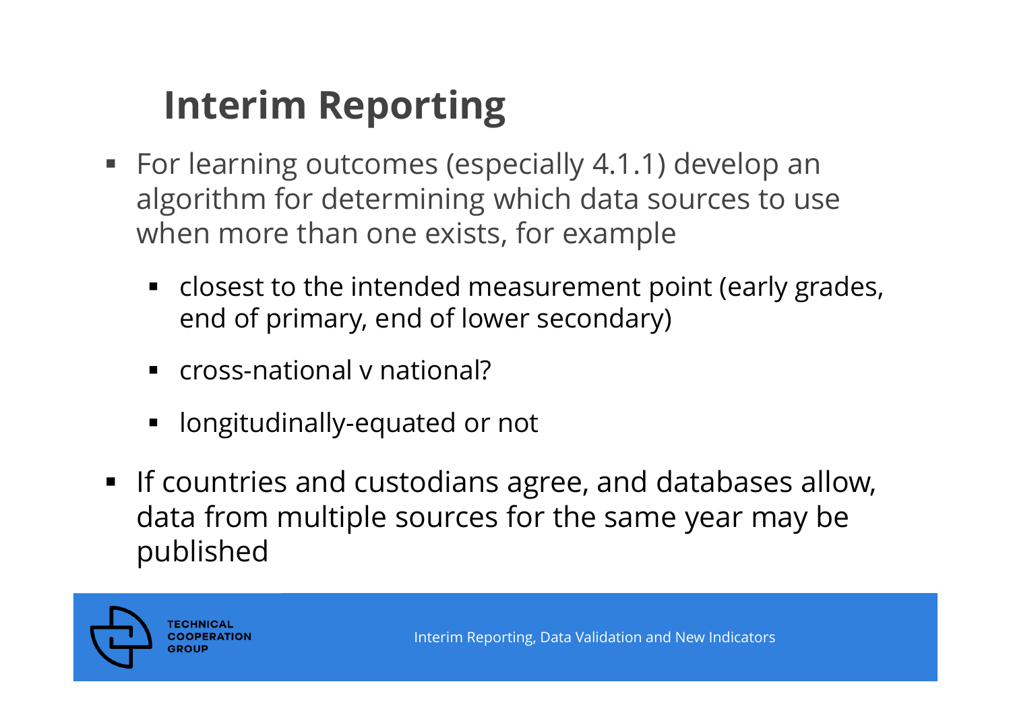## **Interim Reporting**

- For learning outcomes (especially 4.1.1) develop an algorithm for determining which data sources to use when more than one exists, for example
	- closest to the intended measurement point (early grades, end of primary, end of lower secondary)
	- **Cross-national v national?**
	- **-** longitudinally-equated or not
- **If countries and custodians agree, and databases allow,** data from multiple sources for the same year may be published

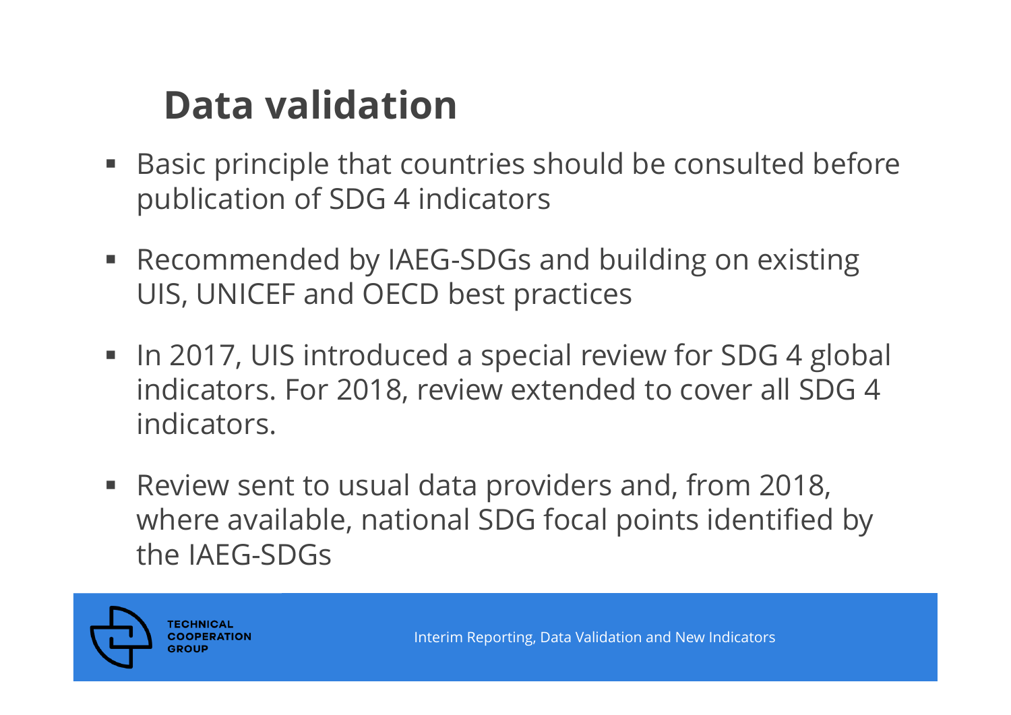### **Data validation**

- Basic principle that countries should be consulted before publication of SDG 4 indicators
- Recommended by IAEG-SDGs and building on existing UIS, UNICEF and OECD best practices
- In 2017, UIS introduced a special review for SDG 4 global indicators. For 2018, review extended to cover all SDG 4 indicators.
- l. Review sent to usual data providers and, from 2018, where available, national SDG focal points identified by the IAEG-SDGs

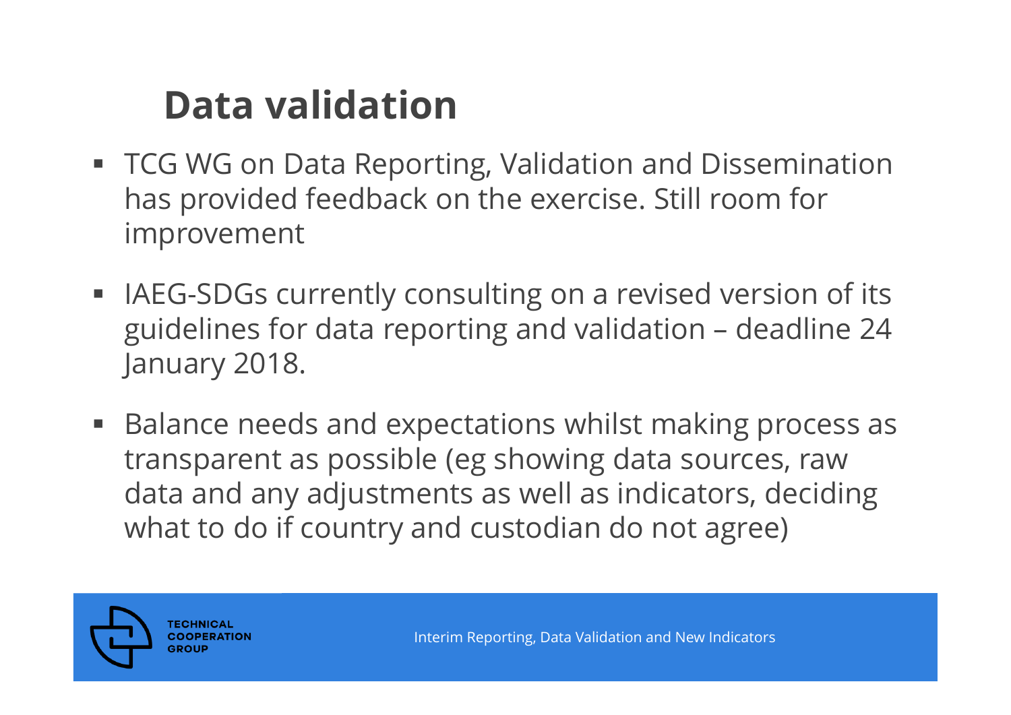### **Data validation**

- TCG WG on Data Reporting, Validation and Dissemination has provided feedback on the exercise. Still room for improvement
- **IAEG-SDGs currently consulting on a revised version of its** guidelines for data reporting and validation – deadline 24 January 2018.
- Balance needs and expectations whilst making process as transparent as possible (eg showing data sources, raw data and any adjustments as well as indicators, deciding what to do if country and custodian do not agree)

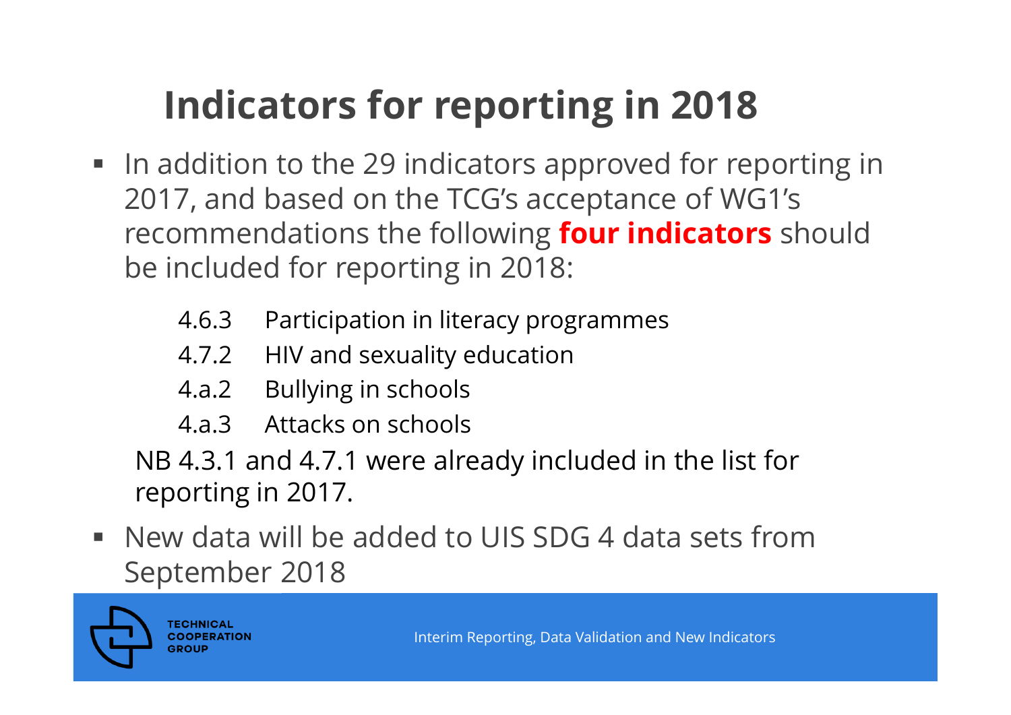# **Indicators for reporting in 2018**

- **IF andition to the 29 indicators approved for reporting in** 2017, and based on the TCG's acceptance of WG1's recommendations the following **four indicators** should be included for reporting in 2018:
	- 4.6.3 Participation in literacy programmes
	- 4.7.2 HIV and sexuality education
	- 4.a.2 Bullying in schools
	- 4.a.3 Attacks on schools

NB 4.3.1 and 4.7.1 were already included in the list for reporting in 2017.

 New data will be added to UIS SDG 4 data sets from September 2018

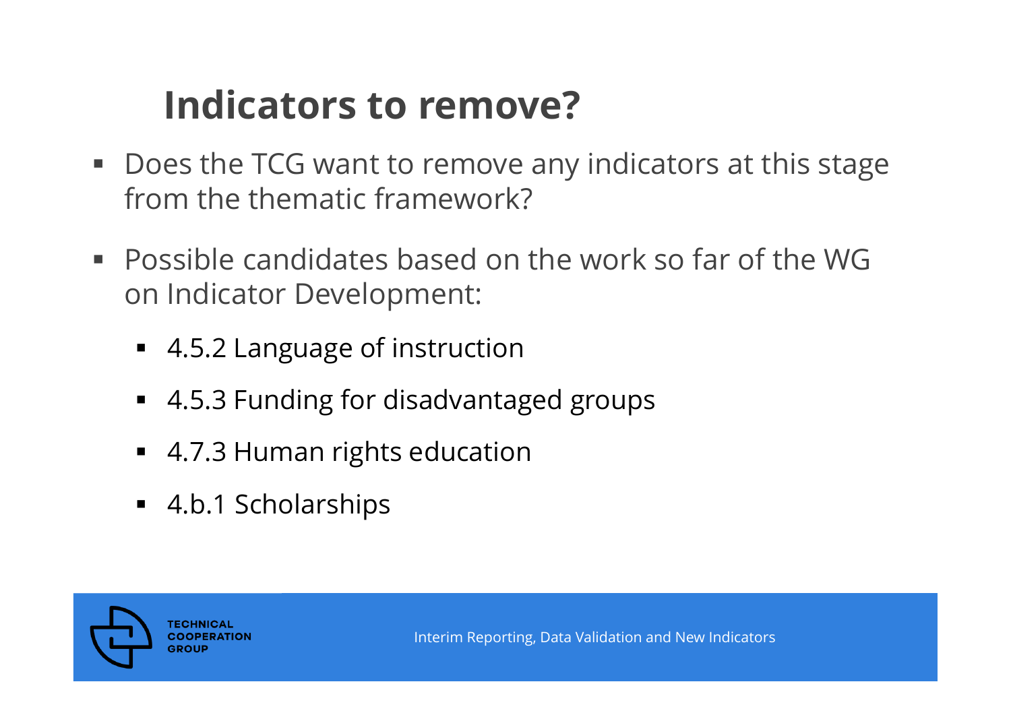#### **Indicators to remove?**

- **Does the TCG want to remove any indicators at this stage** from the thematic framework?
- Possible candidates based on the work so far of the WG on Indicator Development:
	- 4.5.2 Language of instruction
	- 4.5.3 Funding for disadvantaged groups
	- 4.7.3 Human rights education
	- 4.b.1 Scholarships